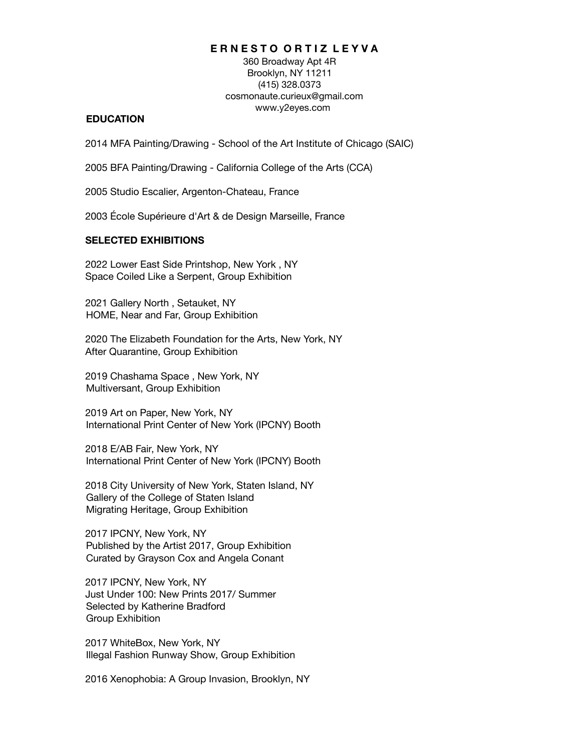# **E R N E S T O O R T I Z L E Y V A**

360 Broadway Apt 4R Brooklyn, NY 11211 (415) 328.0373 cosmonaute.curieux@gmail.com www.y2eyes.com

#### **EDUCATION**

2014 MFA Painting/Drawing - School of the Art Institute of Chicago (SAIC)

2005 BFA Painting/Drawing - California College of the Arts (CCA)

2005 Studio Escalier, Argenton-Chateau, France

2003 École Supérieure d'Art & de Design Marseille, France

# **SELECTED EXHIBITIONS**

2022 Lower East Side Printshop, New York , NY Space Coiled Like a Serpent, Group Exhibition

2021 Gallery North , Setauket, NY HOME, Near and Far, Group Exhibition

2020 The Elizabeth Foundation for the Arts, New York, NY After Quarantine, Group Exhibition

2019 Chashama Space , New York, NY Multiversant, Group Exhibition

2019 Art on Paper, New York, NY International Print Center of New York (IPCNY) Booth

2018 E/AB Fair, New York, NY International Print Center of New York (IPCNY) Booth

2018 City University of New York, Staten Island, NY Gallery of the College of Staten Island Migrating Heritage, Group Exhibition

2017 IPCNY, New York, NY Published by the Artist 2017, Group Exhibition Curated by Grayson Cox and Angela Conant

2017 IPCNY, New York, NY Just Under 100: New Prints 2017/ Summer Selected by Katherine Bradford Group Exhibition

2017 WhiteBox, New York, NY Illegal Fashion Runway Show, Group Exhibition

2016 Xenophobia: A Group Invasion, Brooklyn, NY